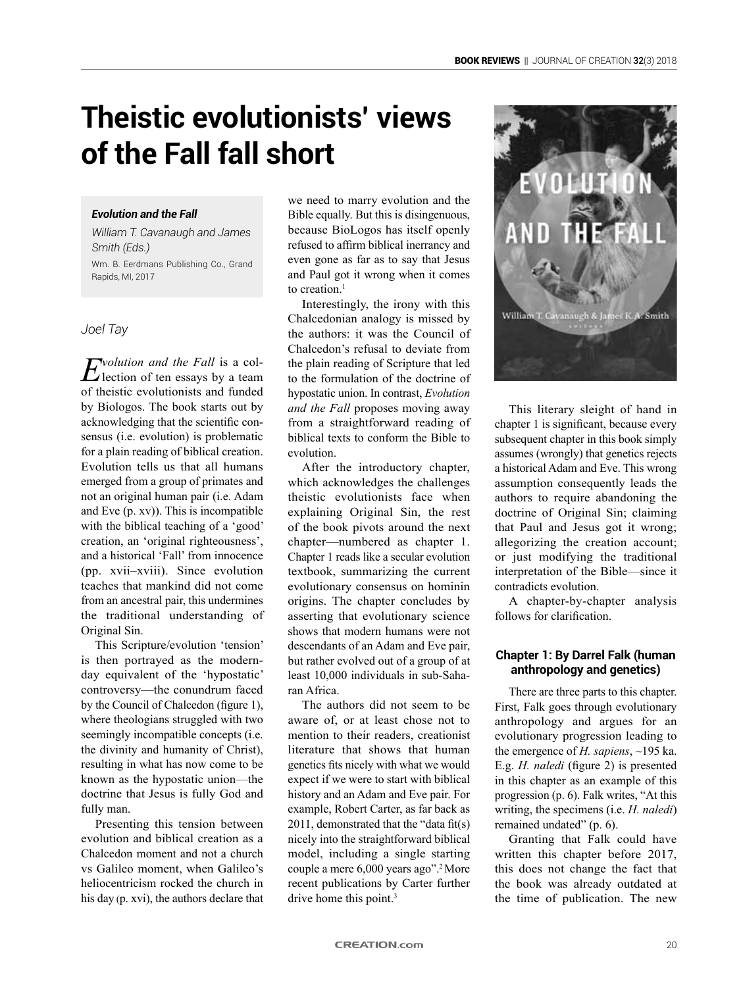# **Theistic evolutionists' views of the Fall fall short**

#### *Evolution and the Fall*

*William T. Cavanaugh and James Smith (Eds.)* Wm. B. Eerdmans Publishing Co., Grand Rapids, MI, 2017

### *Joel Tay*

*Evolution and the Fall* is a col-lection of ten essays by a team of theistic evolutionists and funded by Biologos. The book starts out by acknowledging that the scientific consensus (i.e. evolution) is problematic for a plain reading of biblical creation. Evolution tells us that all humans emerged from a group of primates and not an original human pair (i.e. Adam and Eve (p. xv)). This is incompatible with the biblical teaching of a 'good' creation, an 'original righteousness', and a historical 'Fall' from innocence (pp. xvii–xviii). Since evolution teaches that mankind did not come from an ancestral pair, this undermines the traditional understanding of Original Sin.

This Scripture/evolution 'tension' is then portrayed as the modernday equivalent of the 'hypostatic' controversy—the conundrum faced by the Council of Chalcedon (figure 1), where theologians struggled with two seemingly incompatible concepts (i.e. the divinity and humanity of Christ), resulting in what has now come to be known as the hypostatic union—the doctrine that Jesus is fully God and fully man.

Presenting this tension between evolution and biblical creation as a Chalcedon moment and not a church vs Galileo moment, when Galileo's heliocentricism rocked the church in his day (p. xvi), the authors declare that we need to marry evolution and the Bible equally. But this is disingenuous, because BioLogos has itself openly refused to affirm biblical inerrancy and even gone as far as to say that Jesus and Paul got it wrong when it comes to creation.<sup>1</sup>

Interestingly, the irony with this Chalcedonian analogy is missed by the authors: it was the Council of Chalcedon's refusal to deviate from the plain reading of Scripture that led to the formulation of the doctrine of hypostatic union. In contrast, *Evolution and the Fall* proposes moving away from a straightforward reading of biblical texts to conform the Bible to evolution.

After the introductory chapter, which acknowledges the challenges theistic evolutionists face when explaining Original Sin, the rest of the book pivots around the next chapter—numbered as chapter 1. Chapter 1 reads like a secular evolution textbook, summarizing the current evolutionary consensus on hominin origins. The chapter concludes by asserting that evolutionary science shows that modern humans were not descendants of an Adam and Eve pair, but rather evolved out of a group of at least 10,000 individuals in sub-Saharan Africa.

The authors did not seem to be aware of, or at least chose not to mention to their readers, creationist literature that shows that human genetics fits nicely with what we would expect if we were to start with biblical history and an Adam and Eve pair. For example, Robert Carter, as far back as 2011, demonstrated that the "data fit(s) nicely into the straightforward biblical model, including a single starting couple a mere 6,000 years ago".2 More recent publications by Carter further drive home this point.<sup>3</sup>



This literary sleight of hand in chapter 1 is significant, because every subsequent chapter in this book simply assumes (wrongly) that genetics rejects a historical Adam and Eve. This wrong assumption consequently leads the authors to require abandoning the doctrine of Original Sin; claiming that Paul and Jesus got it wrong; allegorizing the creation account; or just modifying the traditional interpretation of the Bible—since it contradicts evolution.

A chapter-by-chapter analysis follows for clarification.

## **Chapter 1: By Darrel Falk (human anthropology and genetics)**

There are three parts to this chapter. First, Falk goes through evolutionary anthropology and argues for an evolutionary progression leading to the emergence of *H. sapiens*, ~195 ka. E.g. *H. naledi* (figure 2) is presented in this chapter as an example of this progression (p. 6). Falk writes, "At this writing, the specimens (i.e. *H. naledi*) remained undated" (p. 6).

Granting that Falk could have written this chapter before 2017, this does not change the fact that the book was already outdated at the time of publication. The new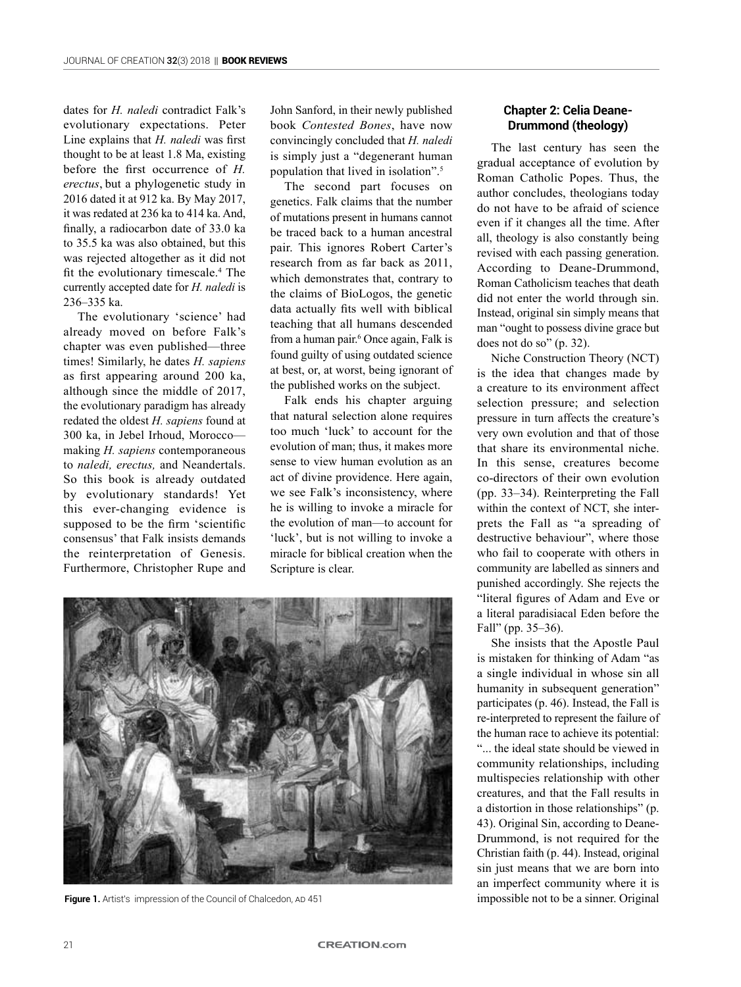dates for *H. naledi* contradict Falk's evolutionary expectations. Peter Line explains that *H. naledi* was first thought to be at least 1.8 Ma, existing before the first occurrence of *H. erectus*, but a phylogenetic study in 2016 dated it at 912 ka. By May 2017, it was redated at 236 ka to 414 ka. And, finally, a radiocarbon date of 33.0 ka to 35.5 ka was also obtained, but this was rejected altogether as it did not fit the evolutionary timescale.<sup>4</sup> The currently accepted date for *H. naledi* is 236–335 ka.

The evolutionary 'science' had already moved on before Falk's chapter was even published—three times! Similarly, he dates *H. sapiens*  as first appearing around 200 ka, although since the middle of 2017, the evolutionary paradigm has already redated the oldest *H. sapiens* found at 300 ka, in Jebel Irhoud, Morocco making *H. sapiens* contemporaneous to *naledi, erectus,* and Neandertals. So this book is already outdated by evolutionary standards! Yet this ever-changing evidence is supposed to be the firm 'scientific consensus' that Falk insists demands the reinterpretation of Genesis. Furthermore, Christopher Rupe and John Sanford, in their newly published book *Contested Bones*, have now convincingly concluded that *H. naledi* is simply just a "degenerant human population that lived in isolation".5

The second part focuses on genetics. Falk claims that the number of mutations present in humans cannot be traced back to a human ancestral pair. This ignores Robert Carter's research from as far back as 2011, which demonstrates that, contrary to the claims of BioLogos, the genetic data actually fits well with biblical teaching that all humans descended from a human pair.<sup>6</sup> Once again, Falk is found guilty of using outdated science at best, or, at worst, being ignorant of the published works on the subject.

Falk ends his chapter arguing that natural selection alone requires too much 'luck' to account for the evolution of man; thus, it makes more sense to view human evolution as an act of divine providence. Here again, we see Falk's inconsistency, where he is willing to invoke a miracle for the evolution of man—to account for 'luck', but is not willing to invoke a miracle for biblical creation when the Scripture is clear.



**Figure 1.** Artist's impression of the Council of Chalcedon, AD 451 **impossible not to be a sinner. Original** 

### **Chapter 2: Celia Deane-Drummond (theology)**

The last century has seen the gradual acceptance of evolution by Roman Catholic Popes. Thus, the author concludes, theologians today do not have to be afraid of science even if it changes all the time. After all, theology is also constantly being revised with each passing generation. According to Deane-Drummond, Roman Catholicism teaches that death did not enter the world through sin. Instead, original sin simply means that man "ought to possess divine grace but does not do so" (p. 32).

Niche Construction Theory (NCT) is the idea that changes made by a creature to its environment affect selection pressure; and selection pressure in turn affects the creature's very own evolution and that of those that share its environmental niche. In this sense, creatures become co-directors of their own evolution (pp. 33–34). Reinterpreting the Fall within the context of NCT, she interprets the Fall as "a spreading of destructive behaviour", where those who fail to cooperate with others in community are labelled as sinners and punished accordingly. She rejects the "literal figures of Adam and Eve or a literal paradisiacal Eden before the Fall" (pp. 35–36).

She insists that the Apostle Paul is mistaken for thinking of Adam "as a single individual in whose sin all humanity in subsequent generation" participates (p. 46). Instead, the Fall is re-interpreted to represent the failure of the human race to achieve its potential: "... the ideal state should be viewed in community relationships, including multispecies relationship with other creatures, and that the Fall results in a distortion in those relationships" (p. 43). Original Sin, according to Deane-Drummond, is not required for the Christian faith (p. 44). Instead, original sin just means that we are born into an imperfect community where it is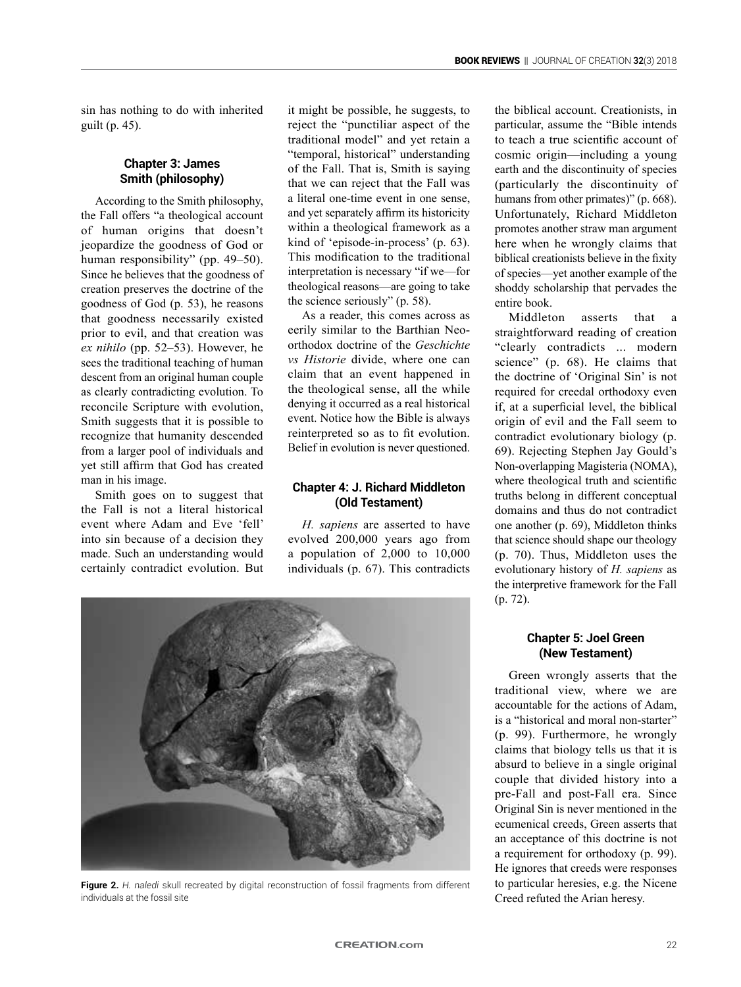sin has nothing to do with inherited guilt (p. 45).

#### **Chapter 3: James Smith (philosophy)**

According to the Smith philosophy, the Fall offers "a theological account of human origins that doesn't jeopardize the goodness of God or human responsibility" (pp. 49–50). Since he believes that the goodness of creation preserves the doctrine of the goodness of God (p. 53), he reasons that goodness necessarily existed prior to evil, and that creation was *ex nihilo* (pp. 52–53). However, he sees the traditional teaching of human descent from an original human couple as clearly contradicting evolution. To reconcile Scripture with evolution, Smith suggests that it is possible to recognize that humanity descended from a larger pool of individuals and yet still affirm that God has created man in his image.

Smith goes on to suggest that the Fall is not a literal historical event where Adam and Eve 'fell' into sin because of a decision they made. Such an understanding would certainly contradict evolution. But it might be possible, he suggests, to reject the "punctiliar aspect of the traditional model" and yet retain a "temporal, historical" understanding of the Fall. That is, Smith is saying that we can reject that the Fall was a literal one-time event in one sense, and yet separately affirm its historicity within a theological framework as a kind of 'episode-in-process' (p. 63). This modification to the traditional interpretation is necessary "if we—for theological reasons—are going to take the science seriously" (p. 58).

As a reader, this comes across as eerily similar to the Barthian Neoorthodox doctrine of the *Geschichte vs Historie* divide, where one can claim that an event happened in the theological sense, all the while denying it occurred as a real historical event. Notice how the Bible is always reinterpreted so as to fit evolution. Belief in evolution is never questioned.

## **Chapter 4: J. Richard Middleton (Old Testament)**

*H. sapiens* are asserted to have evolved 200,000 years ago from a population of 2,000 to 10,000 individuals (p. 67). This contradicts



**Figure 2.** *H. naledi* skull recreated by digital reconstruction of fossil fragments from different individuals at the fossil site

the biblical account. Creationists, in particular, assume the "Bible intends to teach a true scientific account of cosmic origin—including a young earth and the discontinuity of species (particularly the discontinuity of humans from other primates)" (p. 668). Unfortunately, Richard Middleton promotes another straw man argument here when he wrongly claims that biblical creationists believe in the fixity of species—yet another example of the shoddy scholarship that pervades the entire book.

Middleton asserts that a straightforward reading of creation "clearly contradicts ... modern science" (p. 68). He claims that the doctrine of 'Original Sin' is not required for creedal orthodoxy even if, at a superficial level, the biblical origin of evil and the Fall seem to contradict evolutionary biology (p. 69). Rejecting Stephen Jay Gould's Non-overlapping Magisteria (NOMA), where theological truth and scientific truths belong in different conceptual domains and thus do not contradict one another (p. 69), Middleton thinks that science should shape our theology (p. 70). Thus, Middleton uses the evolutionary history of *H. sapiens* as the interpretive framework for the Fall (p. 72).

## **Chapter 5: Joel Green (New Testament)**

Green wrongly asserts that the traditional view, where we are accountable for the actions of Adam, is a "historical and moral non-starter" (p. 99). Furthermore, he wrongly claims that biology tells us that it is absurd to believe in a single original couple that divided history into a pre-Fall and post-Fall era. Since Original Sin is never mentioned in the ecumenical creeds, Green asserts that an acceptance of this doctrine is not a requirement for orthodoxy (p. 99). He ignores that creeds were responses to particular heresies, e.g. the Nicene Creed refuted the Arian heresy.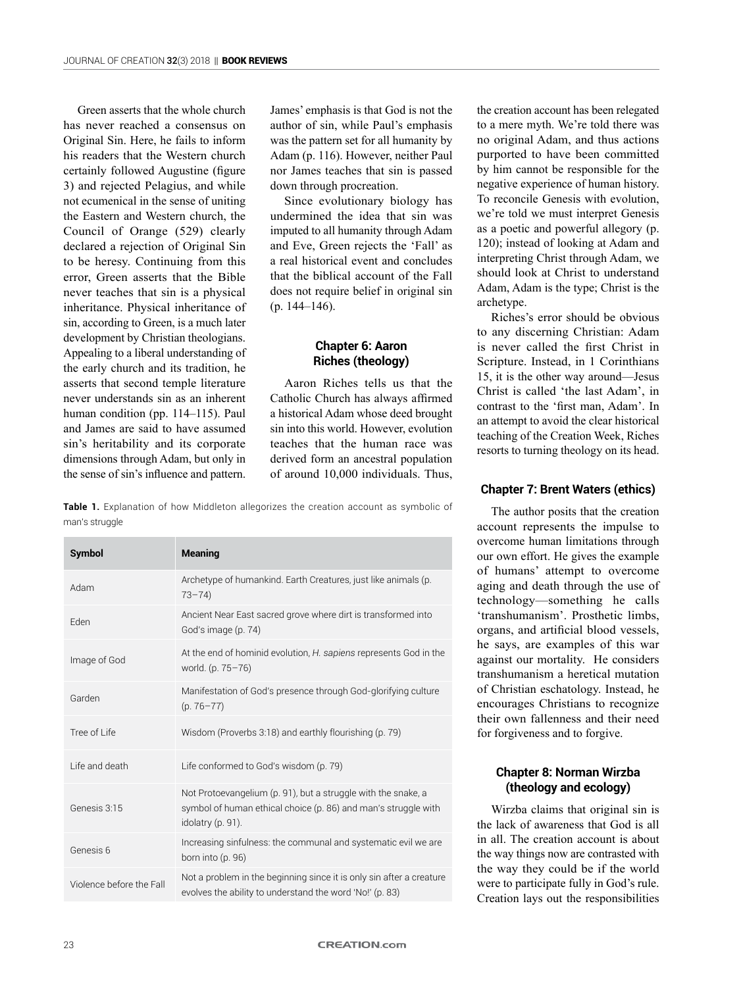Green asserts that the whole church has never reached a consensus on Original Sin. Here, he fails to inform his readers that the Western church certainly followed Augustine (figure 3) and rejected Pelagius, and while not ecumenical in the sense of uniting the Eastern and Western church, the Council of Orange (529) clearly declared a rejection of Original Sin to be heresy. Continuing from this error, Green asserts that the Bible never teaches that sin is a physical inheritance. Physical inheritance of sin, according to Green, is a much later development by Christian theologians. Appealing to a liberal understanding of the early church and its tradition, he asserts that second temple literature never understands sin as an inherent human condition (pp. 114–115). Paul and James are said to have assumed sin's heritability and its corporate dimensions through Adam, but only in the sense of sin's influence and pattern.

James' emphasis is that God is not the author of sin, while Paul's emphasis was the pattern set for all humanity by Adam (p. 116). However, neither Paul nor James teaches that sin is passed down through procreation.

Since evolutionary biology has undermined the idea that sin was imputed to all humanity through Adam and Eve, Green rejects the 'Fall' as a real historical event and concludes that the biblical account of the Fall does not require belief in original sin (p. 144–146).

## **Chapter 6: Aaron Riches (theology)**

Aaron Riches tells us that the Catholic Church has always affirmed a historical Adam whose deed brought sin into this world. However, evolution teaches that the human race was derived form an ancestral population of around 10,000 individuals. Thus,

**Table 1.** Explanation of how Middleton allegorizes the creation account as symbolic of man's struggle

| Symbol                   | <b>Meaning</b>                                                                                                                                       |
|--------------------------|------------------------------------------------------------------------------------------------------------------------------------------------------|
| Adam                     | Archetype of humankind. Earth Creatures, just like animals (p.<br>$73 - 74$                                                                          |
| Eden                     | Ancient Near East sacred grove where dirt is transformed into<br>God's image (p. 74)                                                                 |
| Image of God             | At the end of hominid evolution, H. sapiens represents God in the<br>world. (p. 75-76)                                                               |
| Garden                   | Manifestation of God's presence through God-glorifying culture<br>$(p.76 - 77)$                                                                      |
| Tree of Life             | Wisdom (Proverbs 3:18) and earthly flourishing (p. 79)                                                                                               |
| I ife and death          | Life conformed to God's wisdom (p. 79)                                                                                                               |
| Genesis 3:15             | Not Protoevangelium (p. 91), but a struggle with the snake, a<br>symbol of human ethical choice (p. 86) and man's struggle with<br>idolatry (p. 91). |
| Genesis 6                | Increasing sinfulness: the communal and systematic evil we are<br>born into (p. 96)                                                                  |
| Violence before the Fall | Not a problem in the beginning since it is only sin after a creature<br>evolves the ability to understand the word 'No!' (p. 83)                     |

the creation account has been relegated to a mere myth. We're told there was no original Adam, and thus actions purported to have been committed by him cannot be responsible for the negative experience of human history. To reconcile Genesis with evolution, we're told we must interpret Genesis as a poetic and powerful allegory (p. 120); instead of looking at Adam and interpreting Christ through Adam, we should look at Christ to understand Adam, Adam is the type; Christ is the archetype.

Riches's error should be obvious to any discerning Christian: Adam is never called the first Christ in Scripture. Instead, in 1 Corinthians 15, it is the other way around—Jesus Christ is called 'the last Adam', in contrast to the 'first man, Adam'. In an attempt to avoid the clear historical teaching of the Creation Week, Riches resorts to turning theology on its head.

# **Chapter 7: Brent Waters (ethics)**

The author posits that the creation account represents the impulse to overcome human limitations through our own effort. He gives the example of humans' attempt to overcome aging and death through the use of technology—something he calls 'transhumanism'. Prosthetic limbs, organs, and artificial blood vessels, he says, are examples of this war against our mortality. He considers transhumanism a heretical mutation of Christian eschatology. Instead, he encourages Christians to recognize their own fallenness and their need for forgiveness and to forgive.

# **Chapter 8: Norman Wirzba (theology and ecology)**

Wirzba claims that original sin is the lack of awareness that God is all in all. The creation account is about the way things now are contrasted with the way they could be if the world were to participate fully in God's rule. Creation lays out the responsibilities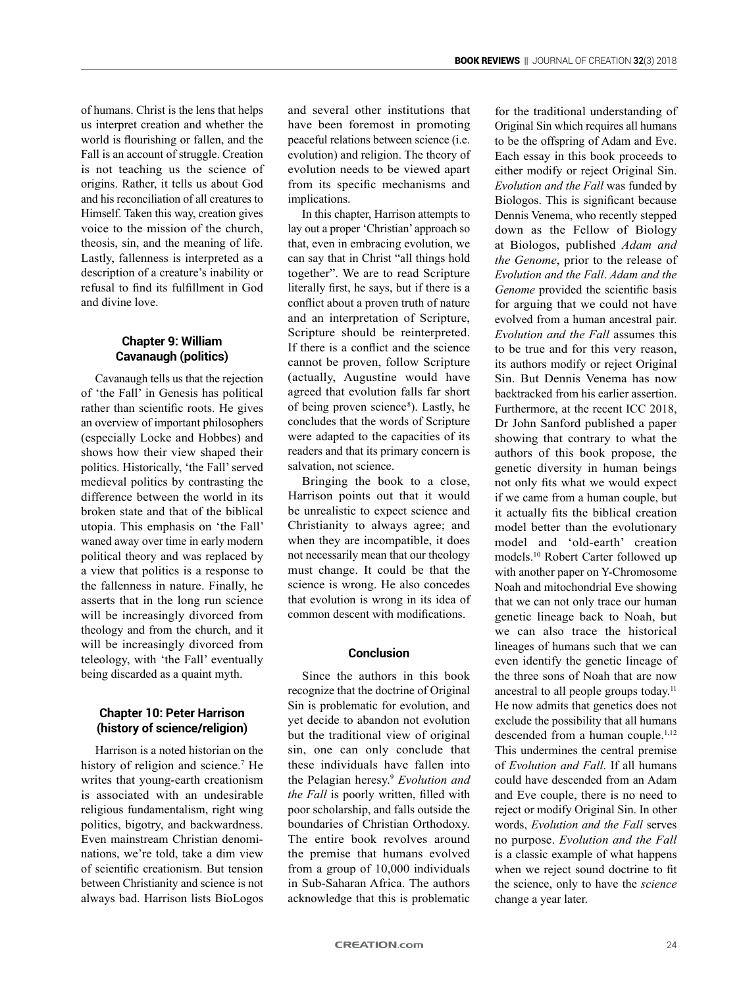of humans. Christ is the lens that helps us interpret creation and whether the world is flourishing or fallen, and the Fall is an account of struggle. Creation is not teaching us the science of origins. Rather, it tells us about God and his reconciliation of all creatures to Himself. Taken this way, creation gives voice to the mission of the church, theosis, sin, and the meaning of life. Lastly, fallenness is interpreted as a description of a creature's inability or refusal to find its fulfillment in God and divine love.

## **Chapter 9: William Cavanaugh (politics)**

Cavanaugh tells us that the rejection of 'the Fall' in Genesis has political rather than scientific roots. He gives an overview of important philosophers (especially Locke and Hobbes) and shows how their view shaped their politics. Historically, 'the Fall' served medieval politics by contrasting the difference between the world in its broken state and that of the biblical utopia. This emphasis on 'the Fall' waned away over time in early modern political theory and was replaced by a view that politics is a response to the fallenness in nature. Finally, he asserts that in the long run science will be increasingly divorced from theology and from the church, and it will be increasingly divorced from teleology, with 'the Fall' eventually being discarded as a quaint myth.

## **Chapter 10: Peter Harrison (history of science/religion)**

Harrison is a noted historian on the history of religion and science.<sup>7</sup> He writes that young-earth creationism is associated with an undesirable religious fundamentalism, right wing politics, bigotry, and backwardness. Even mainstream Christian denominations, we're told, take a dim view of scientific creationism. But tension between Christianity and science is not always bad. Harrison lists BioLogos

and several other institutions that have been foremost in promoting peaceful relations between science (i.e. evolution) and religion. The theory of evolution needs to be viewed apart from its specific mechanisms and implications.

In this chapter, Harrison attempts to lay out a proper 'Christian' approach so that, even in embracing evolution, we can say that in Christ "all things hold together". We are to read Scripture literally first, he says, but if there is a conflict about a proven truth of nature and an interpretation of Scripture, Scripture should be reinterpreted. If there is a conflict and the science cannot be proven, follow Scripture (actually, Augustine would have agreed that evolution falls far short of being proven science<sup>8</sup>). Lastly, he concludes that the words of Scripture were adapted to the capacities of its readers and that its primary concern is salvation, not science.

Bringing the book to a close, Harrison points out that it would be unrealistic to expect science and Christianity to always agree; and when they are incompatible, it does not necessarily mean that our theology must change. It could be that the science is wrong. He also concedes that evolution is wrong in its idea of common descent with modifications.

#### **Conclusion**

Since the authors in this book recognize that the doctrine of Original Sin is problematic for evolution, and yet decide to abandon not evolution but the traditional view of original sin, one can only conclude that these individuals have fallen into the Pelagian heresy.<sup>9</sup> *Evolution and the Fall* is poorly written, filled with poor scholarship, and falls outside the boundaries of Christian Orthodoxy. The entire book revolves around the premise that humans evolved from a group of 10,000 individuals in Sub-Saharan Africa. The authors acknowledge that this is problematic

for the traditional understanding of Original Sin which requires all humans to be the offspring of Adam and Eve. Each essay in this book proceeds to either modify or reject Original Sin. *Evolution and the Fall* was funded by Biologos. This is significant because Dennis Venema, who recently stepped down as the Fellow of Biology at Biologos, published *Adam and the Genome*, prior to the release of *Evolution and the Fall*. *Adam and the Genome* provided the scientific basis for arguing that we could not have evolved from a human ancestral pair. *Evolution and the Fall* assumes this to be true and for this very reason, its authors modify or reject Original Sin. But Dennis Venema has now backtracked from his earlier assertion. Furthermore, at the recent ICC 2018, Dr John Sanford published a paper showing that contrary to what the authors of this book propose, the genetic diversity in human beings not only fits what we would expect if we came from a human couple, but it actually fits the biblical creation model better than the evolutionary model and 'old-earth' creation models.<sup>10</sup> Robert Carter followed up with another paper on Y-Chromosome Noah and mitochondrial Eve showing that we can not only trace our human genetic lineage back to Noah, but we can also trace the historical lineages of humans such that we can even identify the genetic lineage of the three sons of Noah that are now ancestral to all people groups today.<sup>11</sup> He now admits that genetics does not exclude the possibility that all humans descended from a human couple.<sup>1,12</sup> This undermines the central premise of *Evolution and Fall*. If all humans could have descended from an Adam and Eve couple, there is no need to reject or modify Original Sin. In other words, *Evolution and the Fall* serves no purpose. *Evolution and the Fall* is a classic example of what happens when we reject sound doctrine to fit the science, only to have the *science* change a year later.